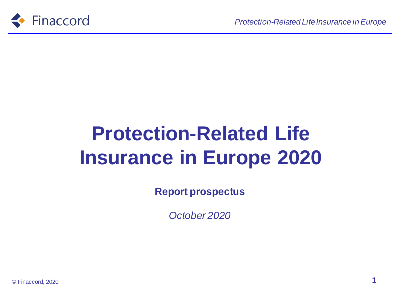

# **Protection-Related Life Insurance in Europe 2020**

**Report prospectus**

*October 2020*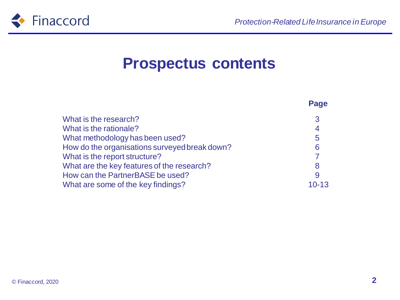

#### **Prospectus contents**

|                                               | Page      |
|-----------------------------------------------|-----------|
| What is the research?                         | 3         |
| What is the rationale?                        | 4         |
| What methodology has been used?               | 5         |
| How do the organisations surveyed break down? | 6         |
| What is the report structure?                 |           |
| What are the key features of the research?    | 8         |
| How can the PartnerBASE be used?              | 9         |
| What are some of the key findings?            | $10 - 13$ |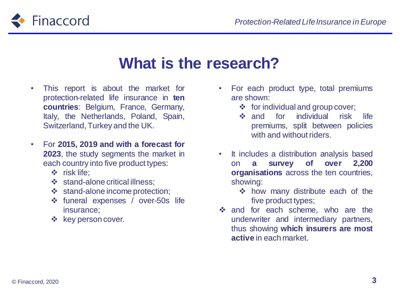

#### **What is the research?**

- This report is about the market for protection-related life insurance in **ten countries**: Belgium, France, Germany, Italy, the Netherlands, Poland, Spain, Switzerland, Turkey and the UK.
- For **2015, 2019 and with a forecast for 2023**, the study segments the market in each country into five product types:
	- ❖ risk life;
	- ❖ stand-alone critical illness;
	- ❖ stand-alone income protection;
	- ❖ funeral expenses / over-50s life insurance;
	- ❖ key person cover.
- For each product type, total premiums are shown:
	- $\div$  for individual and group cover;
	- ❖ and for individual risk life premiums, split between policies with and without riders.
- It includes a distribution analysis based on **a survey of over 2,200 organisations** across the ten countries, showing:
	- ❖ how many distribute each of the five product types;
- ❖ and for each scheme, who are the underwriter and intermediary partners, thus showing **which insurers are most active** in each market.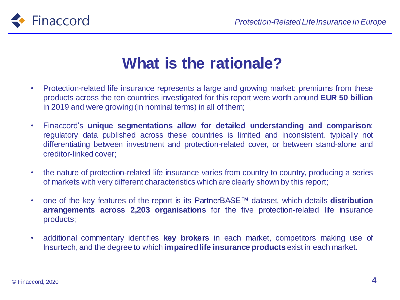



### **What is the rationale?**

- Protection-related life insurance represents a large and growing market: premiums from these products across the ten countries investigated for this report were worth around **EUR 50 billion** in 2019 and were growing (in nominal terms) in all of them;
- Finaccord's **unique segmentations allow for detailed understanding and comparison**: regulatory data published across these countries is limited and inconsistent, typically not differentiating between investment and protection-related cover, or between stand-alone and creditor-linked cover;
- the nature of protection-related life insurance varies from country to country, producing a series of markets with very different characteristics which are clearly shown by this report;
- one of the key features of the report is its PartnerBASE™ dataset, which details **distribution arrangements across 2,203 organisations** for the five protection-related life insurance products;
- additional commentary identifies **key brokers** in each market, competitors making use of Insurtech, and the degree to which **impairedlife insurance products** exist in each market.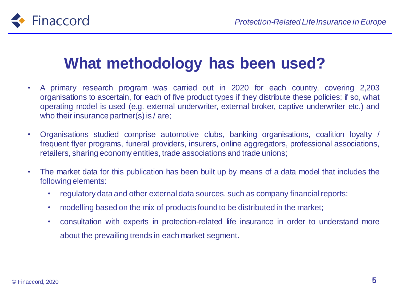

#### **What methodology has been used?**

- A primary research program was carried out in 2020 for each country, covering 2,203 organisations to ascertain, for each of five product types if they distribute these policies; if so, what operating model is used (e.g. external underwriter, external broker, captive underwriter etc.) and who their insurance partner(s) is / are;
- Organisations studied comprise automotive clubs, banking organisations, coalition loyalty / frequent flyer programs, funeral providers, insurers, online aggregators, professional associations, retailers, sharing economy entities, trade associations and trade unions;
- The market data for this publication has been built up by means of a data model that includes the following elements:
	- regulatory data and other external data sources, such as company financial reports;
	- modelling based on the mix of products found to be distributed in the market;
	- consultation with experts in protection-related life insurance in order to understand more about the prevailing trends in each market segment.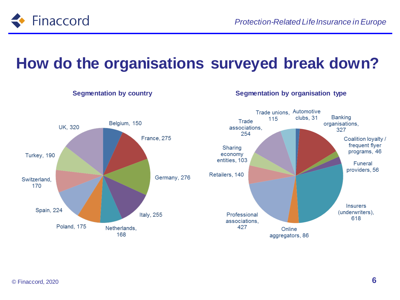

#### **How do the organisations surveyed break down?**

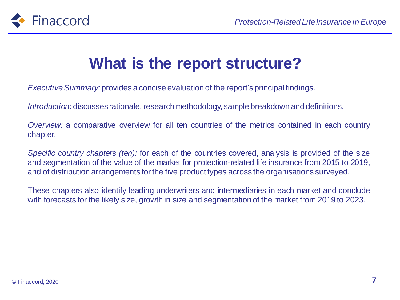

## **What is the report structure?**

*Executive Summary:* provides a concise evaluation of the report's principal findings.

*Introduction:* discusses rationale, research methodology, sample breakdown and definitions.

*Overview:* a comparative overview for all ten countries of the metrics contained in each country chapter.

*Specific country chapters (ten):* for each of the countries covered, analysis is provided of the size and segmentation of the value of the market for protection-related life insurance from 2015 to 2019, and of distribution arrangements for the five product types across the organisations surveyed.

These chapters also identify leading underwriters and intermediaries in each market and conclude with forecasts for the likely size, growth in size and segmentation of the market from 2019 to 2023.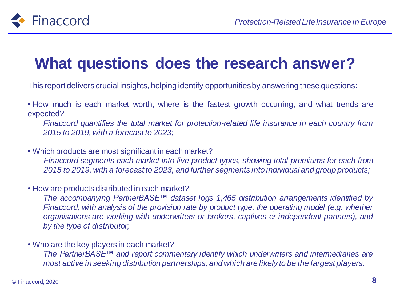

### **What questions does the research answer?**

This report delivers crucial insights, helping identify opportunitiesby answering these questions:

• How much is each market worth, where is the fastest growth occurring, and what trends are expected?

*Finaccord quantifies the total market for protection-related life insurance in each country from 2015 to 2019, with a forecast to 2023;*

• Which products are most significant in each market?

*Finaccord segments each market into five product types, showing total premiums for each from 2015 to 2019, with a forecast to 2023, and further segments into individual and group products;*

• How are products distributed in each market?

*The accompanying PartnerBASE™ dataset logs 1,465 distribution arrangements identified by Finaccord, with analysis of the provision rate by product type, the operating model (e.g. whether organisations are working with underwriters or brokers, captives or independent partners), and by the type of distributor;*

• Who are the key players in each market?

*The PartnerBASE™ and report commentary identify which underwriters and intermediaries are most active in seeking distribution partnerships, and which are likely to be the largest players.*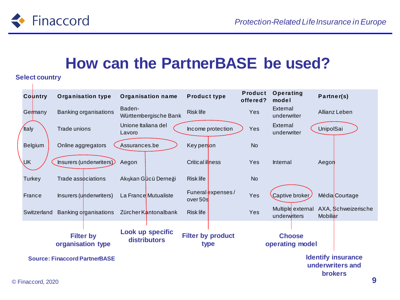

#### **How can the PartnerBASE be used?**

#### **Select country**

| Select country                        |                               |                       |                          |                                  |                                  |                            |                                   |                                                                 |  |  |
|---------------------------------------|-------------------------------|-----------------------|--------------------------|----------------------------------|----------------------------------|----------------------------|-----------------------------------|-----------------------------------------------------------------|--|--|
|                                       | Country                       |                       | <b>Organisation type</b> | <b>Organisation name</b>         | <b>Product type</b>              | <b>Product</b><br>offered? | Operating<br>model                | Partner(s)                                                      |  |  |
|                                       | Germany                       | Banking organisations |                          | Baden-<br>Württembergische Bank  | <b>Risk life</b>                 | Yes                        | External<br>underwriter           | Allianz Leben                                                   |  |  |
|                                       | <b>Italy</b>                  | Trade unions          |                          | Unione Italiana del<br>Lavoro    | Income protection                | Yes                        | External<br>underwriter           | UnipolSai                                                       |  |  |
|                                       | Belgium<br>Online aggregators |                       | Assurances.be            | Key person                       | <b>No</b>                        |                            |                                   |                                                                 |  |  |
|                                       | <b>UK</b>                     |                       | Insurers (underwriters)  | Aegon                            | Critical illness                 | Yes                        | Internal                          | Aegon                                                           |  |  |
|                                       | Turkey                        |                       | Trade associations       | Akışkan Gücü Derneği             | <b>Risk life</b>                 | <b>No</b>                  |                                   |                                                                 |  |  |
|                                       | France                        |                       | Insurers (underwriters)  | La France Mutualiste             | Funeral expenses/<br>over 50s    | Yes                        | Captive broker                    | Média Courtage                                                  |  |  |
|                                       | Switzerland                   |                       | Banking organisations    | Zürcher Kantonalbank             | <b>Risk life</b>                 | Yes                        | Multiple external<br>underwriters | AXA, Schweizerische<br>Mobiliar                                 |  |  |
| <b>Filter by</b><br>organisation type |                               |                       |                          | Look up specific<br>distributors | <b>Filter by product</b><br>type |                            | <b>Choose</b><br>operating model  |                                                                 |  |  |
| <b>Source: Finaccord PartnerBASE</b>  |                               |                       |                          |                                  |                                  |                            |                                   | <b>Identify insurance</b><br>underwriters and<br><b>brokers</b> |  |  |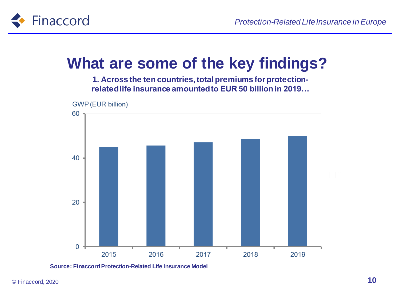

### **What are some of the key findings?**

**1. Across the ten countries, total premiums for protectionrelated life insurance amounted to EUR 50 billion in 2019…**



**Source: Finaccord Protection-Related Life Insurance Model**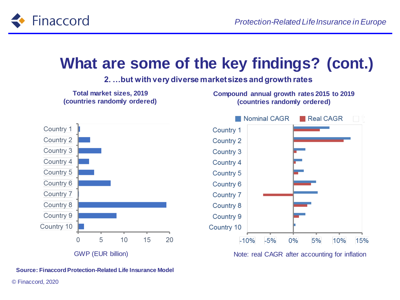

#### **What are some of the key findings? (cont.)**

#### **2. …but with very diverse market sizes and growth rates**



**Source: Finaccord Protection-Related Life Insurance Model**

© Finaccord, 2020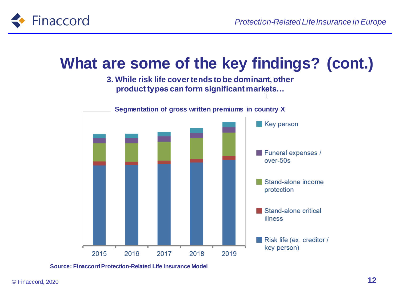

#### **What are some of the key findings? (cont.)**

**3. While risk life cover tends to be dominant, other product types can form significant markets…**



**Segmentation of gross written premiums in country X**

#### **Source: Finaccord Protection-Related Life Insurance Model**